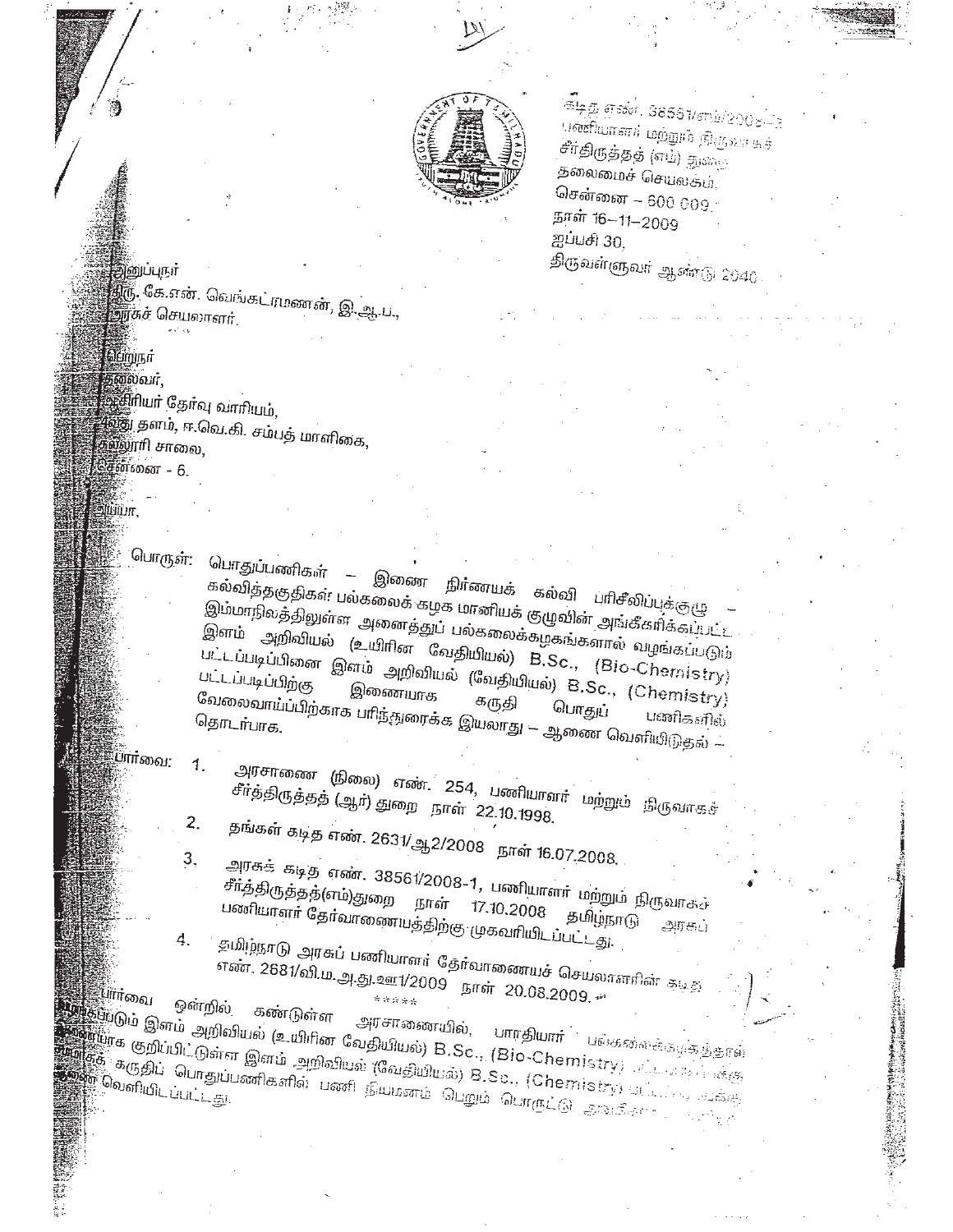

ுந்த எண். 38561/எங்/ஜ பணியாளர் மற்றும் நிருவாகச் சீர்திருத்தத் (எம்) துகை தலைமைச் செயலகம், சென்னை – 600 009. நாள் 16-11-2009 ஐப்பசி 30, திருவள்ளுவர் ஆண்டு 2040

இனுப்புநர் திரு. கே.என். வெங்கட்ரமணன், இ.ஆ.ப., **னாகச் செயலாளர்**.

ப்றியா தலைவர்.

ய்யா.

ஆசிரியா தோவு வாரியம். .<br>இலூரி சா<sub>லை.</sub> சென்னை - 6.

பொருள்: பொதுப்பணிகள் – இணை நிர்ணயக் ு படுத்தகுதிகள் பல்கலைக் கழக மானியக் குழுவின் அங்கீகரிக்கப்பட்ட இம்மாநிலத்திலுள்ள அனைத்துப் பல்கலைக்கழகங்களால் வழங்கப்படும் இளம் அறிவியல் (உயிரின வேதியியல்) B.Sc., (Bio-Chemistry) பட்டப்படிப்பினை இளம் அறிவியல் (வேதியியல்) B.Sc., (Chemistry) வேலைவாய்ப்பிற்காக பாிந்துரைக்க இயலாது — ஆணை வெளியிடுதல் — பணிகளில் தொடர்பாக.

பார்<sub>வை:</sub>

பார்<sub>வை</sub>

1.

 $2.$ 

ஔறில

அரசாணை (நிலை) எண். 254, பணியாளர் மற்றும் நிருவாகச்

சீர்த்திருத்தத் (ஆர்) துறை நாள் 22.10.1998. தங்கள் கடித எண். 2631/ஆ2/2008 நாள் 16.07.2008.

3,

அரசுக் கடித எண். 38561/2008–1, பணியாளா மற்றும் நிருவாகச் சீாத்திருத்தத்(எம்)துறை நாள் 17.10.2008 பணியாளா தோவாணையத்திற்கு முகவரியிடப்பட்டது. தமிழ்நாடு அரசுப்

தமிழ்நாடு அரசுப் பணியாளர் தேர்வானையச் செயலாளரின் கடித 4.

எண். 2681/வி.ம.அ.து.ஊ1/2009 நாள் 20.08.2009. கண்டுள்ள

இதற்டும் இளம் அறிவியல் (உயிரின வேதியியல்) B.Sc., (Bio-Chemistry; கட்டார்க்கு, **பாரதியார்** பங்களைக்கர்க்காள் ன்க்<br>இந்த குறிப்பிட்டுள்ள இளம் அறிவியல் (வேதியியல்) B.Sc., (Chemistry) பட்டபடி சுக்கு த்தி கருதிப் பொதுப்பணிகளில் பணி நியமனம் பெறும் பொருட்டு அங்கீகள்